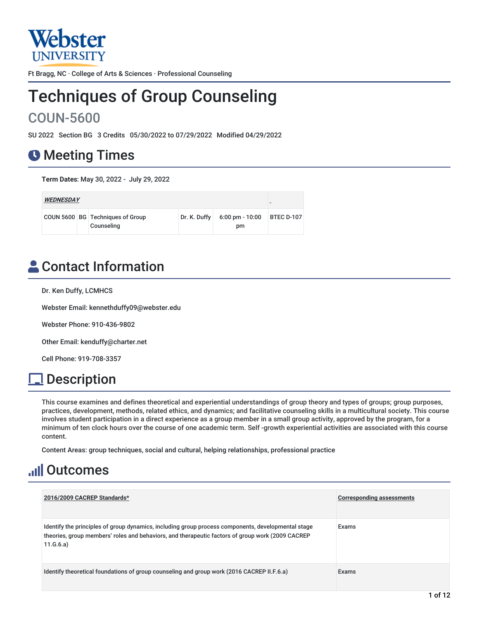

Ft Bragg, NC · College of Arts & Sciences · Professional Counseling

# Techniques of Group Counseling COUN-5600

SU 2022 Section BG 3 Credits 05/30/2022 to 07/29/2022 Modified 04/29/2022

# **O** Meeting Times

**Term Dates**: May 30, 2022 - July 29, 2022

| <b>WEDNESDAY</b> |  |                                                |              |                                 |                   |
|------------------|--|------------------------------------------------|--------------|---------------------------------|-------------------|
|                  |  | COUN 5600 BG Techniques of Group<br>Counseling | Dr. K. Duffy | $6:00 \text{ pm} - 10:00$<br>pm | <b>BTEC D-107</b> |

# **A** Contact Information

Dr. Ken Duffy, LCMHCS

Webster Email: kennethduffy09@webster.edu

Webster Phone: 910-436-9802

Other Email: kenduffy@charter.net

Cell Phone: 919-708-3357

# **Description**

This course examines and defines theoretical and experiential understandings of group theory and types of groups; group purposes, practices, development, methods, related ethics, and dynamics; and facilitative counseling skills in a multicultural society. This course involves student participation in a direct experience as a group member in a small group activity, approved by the program, for a minimum of ten clock hours over the course of one academic term. Self -growth experiential activities are associated with this course content.

Content Areas: group techniques, social and cultural, helping relationships, professional practice

# **Juli Outcomes**

| 2016/2009 CACREP Standards*                                                                                                                                                                                         | <b>Corresponding assessments</b> |
|---------------------------------------------------------------------------------------------------------------------------------------------------------------------------------------------------------------------|----------------------------------|
| Identify the principles of group dynamics, including group process components, developmental stage<br>theories, group members' roles and behaviors, and therapeutic factors of group work (2009 CACREP<br>11.G.6.a) | Exams                            |
| Identify theoretical foundations of group counseling and group work (2016 CACREP II.F.6.a)                                                                                                                          | Exams                            |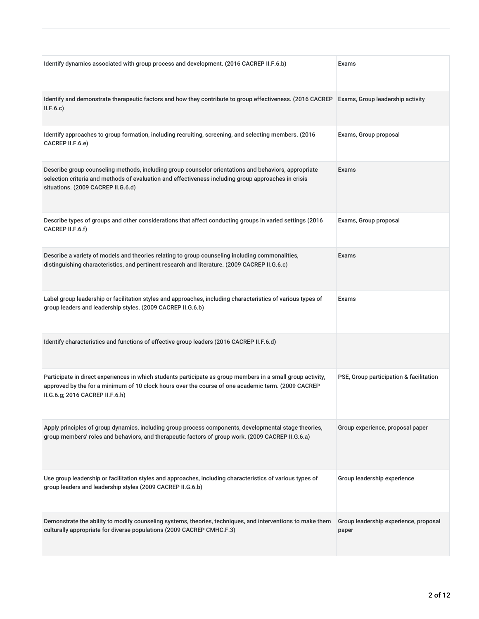| Identify dynamics associated with group process and development. (2016 CACREP II.F.6.b)                                                                                                                                                              | Exams                                          |
|------------------------------------------------------------------------------------------------------------------------------------------------------------------------------------------------------------------------------------------------------|------------------------------------------------|
| Identify and demonstrate therapeutic factors and how they contribute to group effectiveness. (2016 CACREP<br>II.F.6.c)                                                                                                                               | Exams, Group leadership activity               |
| Identify approaches to group formation, including recruiting, screening, and selecting members. (2016<br>CACREP II.F.6.e)                                                                                                                            | Exams, Group proposal                          |
| Describe group counseling methods, including group counselor orientations and behaviors, appropriate<br>selection criteria and methods of evaluation and effectiveness including group approaches in crisis<br>situations. (2009 CACREP II.G.6.d)    | <b>Exams</b>                                   |
| Describe types of groups and other considerations that affect conducting groups in varied settings (2016<br>CACREP II.F.6.f)                                                                                                                         | Exams, Group proposal                          |
| Describe a variety of models and theories relating to group counseling including commonalities,<br>distinguishing characteristics, and pertinent research and literature. (2009 CACREP II.G.6.c)                                                     | Exams                                          |
| Label group leadership or facilitation styles and approaches, including characteristics of various types of<br>group leaders and leadership styles. (2009 CACREP II.G.6.b)                                                                           | Exams                                          |
| Identify characteristics and functions of effective group leaders (2016 CACREP II.F.6.d)                                                                                                                                                             |                                                |
| Participate in direct experiences in which students participate as group members in a small group activity,<br>approved by the for a minimum of 10 clock hours over the course of one academic term. (2009 CACREP<br>II.G.6.g; 2016 CACREP II.F.6.h) | PSE, Group participation & facilitation        |
| Apply principles of group dynamics, including group process components, developmental stage theories,<br>group members' roles and behaviors, and therapeutic factors of group work. (2009 CACREP II.G.6.a)                                           | Group experience, proposal paper               |
| Use group leadership or facilitation styles and approaches, including characteristics of various types of<br>group leaders and leadership styles (2009 CACREP II.G.6.b)                                                                              | Group leadership experience                    |
| Demonstrate the ability to modify counseling systems, theories, techniques, and interventions to make them<br>culturally appropriate for diverse populations (2009 CACREP CMHC.F.3)                                                                  | Group leadership experience, proposal<br>paper |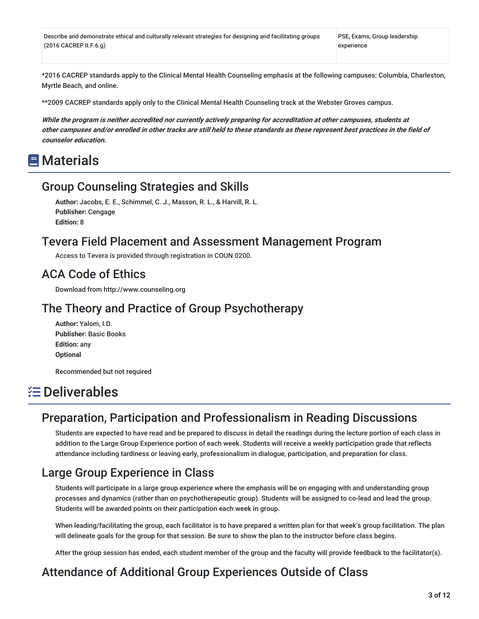Describe and demonstrate ethical and culturally relevant strategies for designing and facilitating groups (2016 CACREP II.F.6.g)

PSE, Exams, Group leadership experience

\*2016 CACREP standards apply to the Clinical Mental Health Counseling emphasis at the following campuses: Columbia, Charleston, Myrtle Beach, and online.

\*\*2009 CACREP standards apply only to the Clinical Mental Health Counseling track at the Webster Groves campus.

While the program is neither accredited nor currently actively preparing for accreditation at other campuses, students at other campuses and/or enrolled in other tracks are still held to these standards as these represent best practices in the field of **counselor education.**

## **■ Materials**

### Group Counseling Strategies and Skills

**Author:** Jacobs, E. E., Schimmel, C. J., Masson, R. L., & Harvill, R. L. **Publisher:** Cengage **Edition:** 8

### Tevera Field Placement and Assessment Management Program

Access to Tevera is provided through registration in COUN 0200.

### ACA Code of Ethics

Download from http://www.counseling.org

### The Theory and Practice of Group Psychotherapy

**Author:** Yalom, I.D. **Publisher:** Basic Books **Edition:** any **Optional**

Recommended but not required

# Deliverables

## Preparation, Participation and Professionalism in Reading Discussions

Students are expected to have read and be prepared to discuss in detail the readings during the lecture portion of each class in addition to the Large Group Experience portion of each week. Students will receive a weekly participation grade that reflects attendance including tardiness or leaving early, professionalism in dialogue, participation, and preparation for class.

## Large Group Experience in Class

Students will participate in a large group experience where the emphasis will be on engaging with and understanding group processes and dynamics (rather than on psychotherapeutic group). Students will be assigned to co-lead and lead the group. Students will be awarded points on their participation each week in group.

When leading/facilitating the group, each facilitator is to have prepared a written plan for that week's group facilitation. The plan will delineate goals for the group for that session. Be sure to show the plan to the instructor before class begins.

After the group session has ended, each student member of the group and the faculty will provide feedback to the facilitator(s).

## Attendance of Additional Group Experiences Outside of Class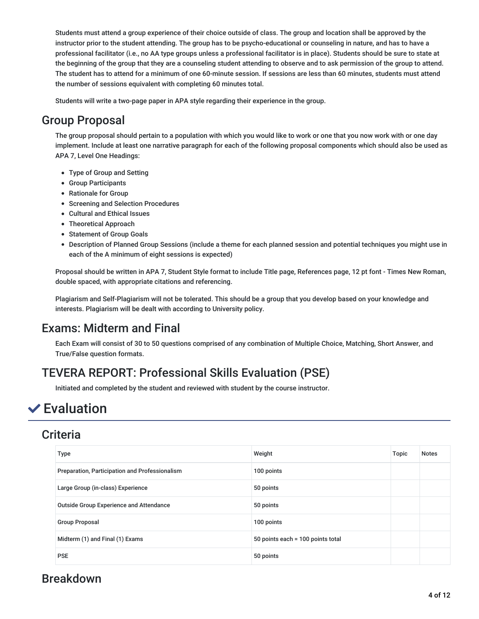Students must attend a group experience of their choice outside of class. The group and location shall be approved by the instructor prior to the student attending. The group has to be psycho-educational or counseling in nature, and has to have a professional facilitator (i.e., no AA type groups unless a professional facilitator is in place). Students should be sure to state at the beginning of the group that they are a counseling student attending to observe and to ask permission of the group to attend. The student has to attend for a minimum of one 60-minute session. If sessions are less than 60 minutes, students must attend the number of sessions equivalent with completing 60 minutes total.

Students will write a two-page paper in APA style regarding their experience in the group.

## Group Proposal

The group proposal should pertain to a population with which you would like to work or one that you now work with or one day implement. Include at least one narrative paragraph for each of the following proposal components which should also be used as APA 7, Level One Headings:

- Type of Group and Setting
- Group Participants
- Rationale for Group
- Screening and Selection Procedures
- Cultural and Ethical Issues
- Theoretical Approach
- Statement of Group Goals
- Description of Planned Group Sessions (include a theme for each planned session and potential techniques you might use in each of the A minimum of eight sessions is expected)

Proposal should be written in APA 7, Student Style format to include Title page, References page, 12 pt font - Times New Roman, double spaced, with appropriate citations and referencing.

Plagiarism and Self-Plagiarism will not be tolerated. This should be a group that you develop based on your knowledge and interests. Plagiarism will be dealt with according to University policy.

## Exams: Midterm and Final

Each Exam will consist of 30 to 50 questions comprised of any combination of Multiple Choice, Matching, Short Answer, and True/False question formats.

# TEVERA REPORT: Professional Skills Evaluation (PSE)

Initiated and completed by the student and reviewed with student by the course instructor.

# $\vee$  Evaluation

## **Criteria**

| Type                                           | Weight                            | Topic | <b>Notes</b> |
|------------------------------------------------|-----------------------------------|-------|--------------|
| Preparation, Participation and Professionalism | 100 points                        |       |              |
| Large Group (in-class) Experience              | 50 points                         |       |              |
| <b>Outside Group Experience and Attendance</b> | 50 points                         |       |              |
| <b>Group Proposal</b>                          | 100 points                        |       |              |
| Midterm (1) and Final (1) Exams                | 50 points each = 100 points total |       |              |
| <b>PSE</b>                                     | 50 points                         |       |              |

## Breakdown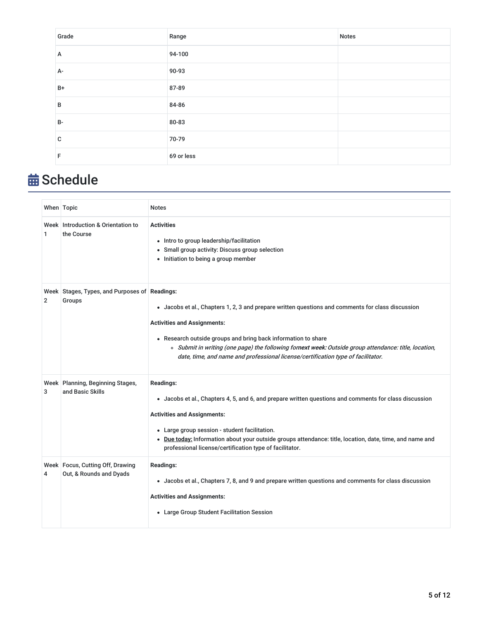| Grade        | Range      | <b>Notes</b> |
|--------------|------------|--------------|
| A            | 94-100     |              |
| A-           | 90-93      |              |
| $B+$         | 87-89      |              |
| B            | 84-86      |              |
| $B -$        | 80-83      |              |
| $\mathbf{C}$ | 70-79      |              |
| F            | 69 or less |              |

# **苗 Schedule**

|                | When Topic                                                    | <b>Notes</b>                                                                                                                                                                                                                                                                                                                                                                                          |
|----------------|---------------------------------------------------------------|-------------------------------------------------------------------------------------------------------------------------------------------------------------------------------------------------------------------------------------------------------------------------------------------------------------------------------------------------------------------------------------------------------|
| 1              | Week Introduction & Orientation to<br>the Course              | <b>Activities</b><br>• Intro to group leadership/facilitation<br>• Small group activity: Discuss group selection<br>• Initiation to being a group member                                                                                                                                                                                                                                              |
| $\overline{2}$ | Week Stages, Types, and Purposes of Readings:<br>Groups       | • Jacobs et al., Chapters 1, 2, 3 and prepare written questions and comments for class discussion<br><b>Activities and Assignments:</b><br>• Research outside groups and bring back information to share<br>o Submit in writing (one page) the following fornext week: Outside group attendance: title, location,<br>date, time, and name and professional license/certification type of facilitator. |
| 3              | Week Planning, Beginning Stages,<br>and Basic Skills          | <b>Readings:</b><br>• Jacobs et al., Chapters 4, 5, and 6, and prepare written questions and comments for class discussion<br><b>Activities and Assignments:</b><br>• Large group session - student facilitation.<br>. Due today: Information about your outside groups attendance: title, location, date, time, and name and<br>professional license/certification type of facilitator.              |
| 4              | Week   Focus, Cutting Off, Drawing<br>Out, & Rounds and Dyads | <b>Readings:</b><br>• Jacobs et al., Chapters 7, 8, and 9 and prepare written questions and comments for class discussion<br><b>Activities and Assignments:</b><br>• Large Group Student Facilitation Session                                                                                                                                                                                         |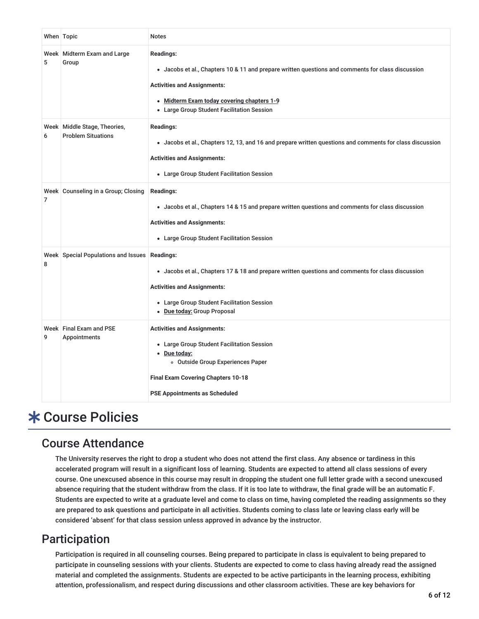|   | When Topic                                                  | <b>Notes</b>                                                                                                                                                                                                                                            |
|---|-------------------------------------------------------------|---------------------------------------------------------------------------------------------------------------------------------------------------------------------------------------------------------------------------------------------------------|
| 5 | Week   Midterm Exam and Large<br>Group                      | <b>Readings:</b><br>• Jacobs et al., Chapters 10 & 11 and prepare written questions and comments for class discussion<br><b>Activities and Assignments:</b><br>• Midterm Exam today covering chapters 1-9<br>• Large Group Student Facilitation Session |
| 6 | Week   Middle Stage, Theories,<br><b>Problem Situations</b> | <b>Readings:</b><br>• Jacobs et al., Chapters 12, 13, and 16 and prepare written questions and comments for class discussion<br><b>Activities and Assignments:</b><br>• Large Group Student Facilitation Session                                        |
| 7 | Week Counseling in a Group; Closing                         | <b>Readings:</b><br>• Jacobs et al., Chapters 14 & 15 and prepare written questions and comments for class discussion<br><b>Activities and Assignments:</b><br>• Large Group Student Facilitation Session                                               |
| 8 | Week Special Populations and Issues Readings:               | • Jacobs et al., Chapters 17 & 18 and prepare written questions and comments for class discussion<br><b>Activities and Assignments:</b><br>• Large Group Student Facilitation Session<br>• Due today: Group Proposal                                    |
| 9 | Week Final Exam and PSE<br>Appointments                     | <b>Activities and Assignments:</b><br>• Large Group Student Facilitation Session<br>• Due today:<br>o Outside Group Experiences Paper<br>Final Exam Covering Chapters 10-18<br><b>PSE Appointments as Scheduled</b>                                     |

# **\* Course Policies**

### Course Attendance

The University reserves the right to drop a student who does not attend the first class. Any absence or tardiness in this accelerated program will result in a significant loss of learning. Students are expected to attend all class sessions of every course. One unexcused absence in this course may result in dropping the student one full letter grade with a second unexcused absence requiring that the student withdraw from the class. If it is too late to withdraw, the final grade will be an automatic F. Students are expected to write at a graduate level and come to class on time, having completed the reading assignments so they are prepared to ask questions and participate in all activities. Students coming to class late or leaving class early will be considered 'absent' for that class session unless approved in advance by the instructor.

## Participation

Participation is required in all counseling courses. Being prepared to participate in class is equivalent to being prepared to participate in counseling sessions with your clients. Students are expected to come to class having already read the assigned material and completed the assignments. Students are expected to be active participants in the learning process, exhibiting attention, professionalism, and respect during discussions and other classroom activities. These are key behaviors for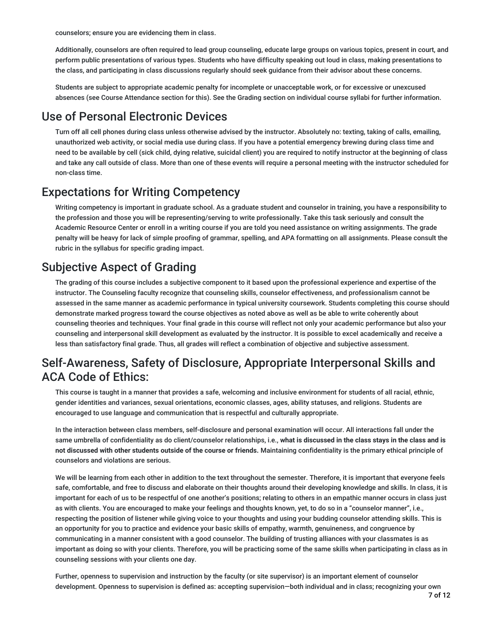counselors; ensure you are evidencing them in class.

Additionally, counselors are often required to lead group counseling, educate large groups on various topics, present in court, and perform public presentations of various types. Students who have difficulty speaking out loud in class, making presentations to the class, and participating in class discussions regularly should seek guidance from their advisor about these concerns.

Students are subject to appropriate academic penalty for incomplete or unacceptable work, or for excessive or unexcused absences (see Course Attendance section for this). See the Grading section on individual course syllabi for further information.

## Use of Personal Electronic Devices

Turn off all cell phones during class unless otherwise advised by the instructor. Absolutely no: texting, taking of calls, emailing, unauthorized web activity, or social media use during class. If you have a potential emergency brewing during class time and need to be available by cell (sick child, dying relative, suicidal client) you are required to notify instructor at the beginning of class and take any call outside of class. More than one of these events will require a personal meeting with the instructor scheduled for non-class time.

### Expectations for Writing Competency

Writing competency is important in graduate school. As a graduate student and counselor in training, you have a responsibility to the profession and those you will be representing/serving to write professionally. Take this task seriously and consult the Academic Resource Center or enroll in a writing course if you are told you need assistance on writing assignments. The grade penalty will be heavy for lack of simple proofing of grammar, spelling, and APA formatting on all assignments. Please consult the rubric in the syllabus for specific grading impact.

## Subjective Aspect of Grading

The grading of this course includes a subjective component to it based upon the professional experience and expertise of the instructor. The Counseling faculty recognize that counseling skills, counselor effectiveness, and professionalism cannot be assessed in the same manner as academic performance in typical university coursework. Students completing this course should demonstrate marked progress toward the course objectives as noted above as well as be able to write coherently about counseling theories and techniques. Your final grade in this course will reflect not only your academic performance but also your counseling and interpersonal skill development as evaluated by the instructor. It is possible to excel academically and receive a less than satisfactory final grade. Thus, all grades will reflect a combination of objective and subjective assessment.

## Self-Awareness, Safety of Disclosure, Appropriate Interpersonal Skills and ACA Code of Ethics:

This course is taught in a manner that provides a safe, welcoming and inclusive environment for students of all racial, ethnic, gender identities and variances, sexual orientations, economic classes, ages, ability statuses, and religions. Students are encouraged to use language and communication that is respectful and culturally appropriate.

In the interaction between class members, self-disclosure and personal examination will occur. All interactions fall under the same umbrella of confidentiality as do client/counselor relationships, i.e., **what is discussed in the class stays in the class and is not discussed with other students outside of the course or friends.** Maintaining confidentiality is the primary ethical principle of counselors and violations are serious.

We will be learning from each other in addition to the text throughout the semester. Therefore, it is important that everyone feels safe, comfortable, and free to discuss and elaborate on their thoughts around their developing knowledge and skills. In class, it is important for each of us to be respectful of one another's positions; relating to others in an empathic manner occurs in class just as with clients. You are encouraged to make your feelings and thoughts known, yet, to do so in a "counselor manner", i.e., respecting the position of listener while giving voice to your thoughts and using your budding counselor attending skills. This is an opportunity for you to practice and evidence your basic skills of empathy, warmth, genuineness, and congruence by communicating in a manner consistent with a good counselor. The building of trusting alliances with your classmates is as important as doing so with your clients. Therefore, you will be practicing some of the same skills when participating in class as in counseling sessions with your clients one day.

Further, openness to supervision and instruction by the faculty (or site supervisor) is an important element of counselor development. Openness to supervision is defined as: accepting supervision—both individual and in class; recognizing your own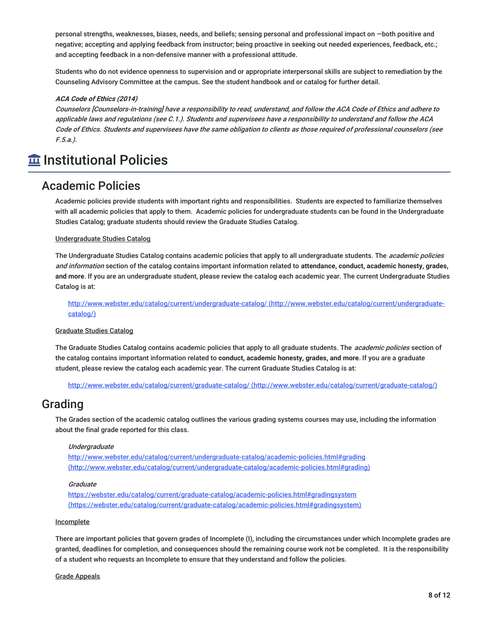personal strengths, weaknesses, biases, needs, and beliefs; sensing personal and professional impact on —both positive and negative; accepting and applying feedback from instructor; being proactive in seeking out needed experiences, feedback, etc.; and accepting feedback in a non-defensive manner with a professional attitude.

Students who do not evidence openness to supervision and or appropriate interpersonal skills are subject to remediation by the Counseling Advisory Committee at the campus. See the student handbook and or catalog for further detail.

#### **ACA Code of Ethics (2014)**

Counselors [Counselors-in-training] have <sup>a</sup> responsibility to read, understand, and follow the ACA Code of Ethics and adhere to applicable laws and regulations (see C.1.). Students and supervisees have <sup>a</sup> responsibility to understand and follow the ACA Code of Ethics. Students and supervisees have the same obligation to clients as those required of professional counselors (see F.5.a.).

# **Institutional Policies**

### Academic Policies

Academic policies provide students with important rights and responsibilities. Students are expected to familiarize themselves with all academic policies that apply to them. Academic policies for undergraduate students can be found in the Undergraduate Studies Catalog; graduate students should review the Graduate Studies Catalog.

#### Undergraduate Studies Catalog

The Undergraduate Studies Catalog contains academic policies that apply to all undergraduate students. The *academic policies* and information section of the catalog contains important information related to **attendance, conduct, academic honesty, grades, and more**. If you are an undergraduate student, please review the catalog each academic year. The current Undergraduate Studies Catalog is at:

http://www.webster.edu/catalog/current/undergraduate-catalog/ (http://www.webster.edu/catalog/current/undergraduatecatalog/)

#### Graduate Studies Catalog

The Graduate Studies Catalog contains academic policies that apply to all graduate students. The *academic policies* section of the catalog contains important information related to **conduct, academic honesty, grades, and more**. If you are a graduate student, please review the catalog each academic year. The current Graduate Studies Catalog is at:

http://www.webster.edu/catalog/current/graduate-catalog/ (http://www.webster.edu/catalog/current/graduate-catalog/)

### Grading

The Grades section of the academic catalog outlines the various grading systems courses may use, including the information about the final grade reported for this class.

#### Undergraduate

http://www.webster.edu/catalog/current/undergraduate-catalog/academic-policies.html#grading (http://www.webster.edu/catalog/current/undergraduate-catalog/academic-policies.html#grading)

#### **Graduate**

https://webster.edu/catalog/current/graduate-catalog/academic-policies.html#gradingsystem (https://webster.edu/catalog/current/graduate-catalog/academic-policies.html#gradingsystem)

#### Incomplete

There are important policies that govern grades of Incomplete (I), including the circumstances under which Incomplete grades are granted, deadlines for completion, and consequences should the remaining course work not be completed. It is the responsibility of a student who requests an Incomplete to ensure that they understand and follow the policies.

#### Grade Appeals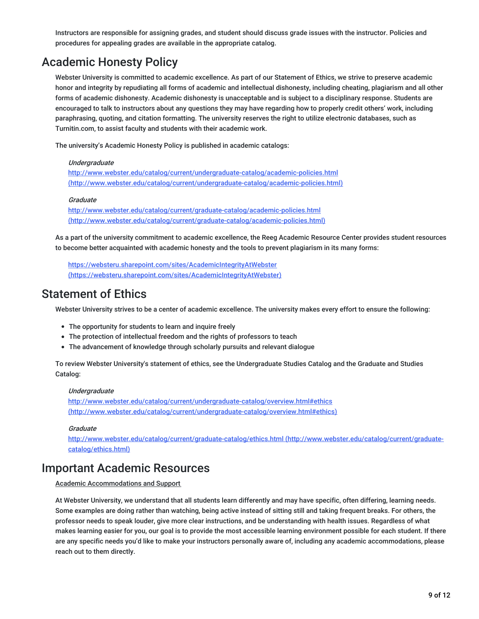Instructors are responsible for assigning grades, and student should discuss grade issues with the instructor. Policies and procedures for appealing grades are available in the appropriate catalog.

## Academic Honesty Policy

Webster University is committed to academic excellence. As part of our Statement of Ethics, we strive to preserve academic honor and integrity by repudiating all forms of academic and intellectual dishonesty, including cheating, plagiarism and all other forms of academic dishonesty. Academic dishonesty is unacceptable and is subject to a disciplinary response. Students are encouraged to talk to instructors about any questions they may have regarding how to properly credit others' work, including paraphrasing, quoting, and citation formatting. The university reserves the right to utilize electronic databases, such as Turnitin.com, to assist faculty and students with their academic work.

The university's Academic Honesty Policy is published in academic catalogs:

#### **Undergraduate**

http://www.webster.edu/catalog/current/undergraduate-catalog/academic-policies.html (http://www.webster.edu/catalog/current/undergraduate-catalog/academic-policies.html)

#### Graduate

http://www.webster.edu/catalog/current/graduate-catalog/academic-policies.html (http://www.webster.edu/catalog/current/graduate-catalog/academic-policies.html)

As a part of the university commitment to academic excellence, the Reeg Academic Resource Center provides student resources to become better acquainted with academic honesty and the tools to prevent plagiarism in its many forms:

https://websteru.sharepoint.com/sites/AcademicIntegrityAtWebster (https://websteru.sharepoint.com/sites/AcademicIntegrityAtWebster)

### Statement of Ethics

Webster University strives to be a center of academic excellence. The university makes every effort to ensure the following:

- The opportunity for students to learn and inquire freely
- The protection of intellectual freedom and the rights of professors to teach
- The advancement of knowledge through scholarly pursuits and relevant dialogue

To review Webster University's statement of ethics, see the Undergraduate Studies Catalog and the Graduate and Studies Catalog:

#### Undergraduate

http://www.webster.edu/catalog/current/undergraduate-catalog/overview.html#ethics (http://www.webster.edu/catalog/current/undergraduate-catalog/overview.html#ethics)

#### **Graduate**

http://www.webster.edu/catalog/current/graduate-catalog/ethics.html (http://www.webster.edu/catalog/current/graduatecatalog/ethics.html)

### Important Academic Resources

#### Academic Accommodations and Support

At Webster University, we understand that all students learn differently and may have specific, often differing, learning needs. Some examples are doing rather than watching, being active instead of sitting still and taking frequent breaks. For others, the professor needs to speak louder, give more clear instructions, and be understanding with health issues. Regardless of what makes learning easier for you, our goal is to provide the most accessible learning environment possible for each student. If there are any specific needs you'd like to make your instructors personally aware of, including any academic accommodations, please reach out to them directly.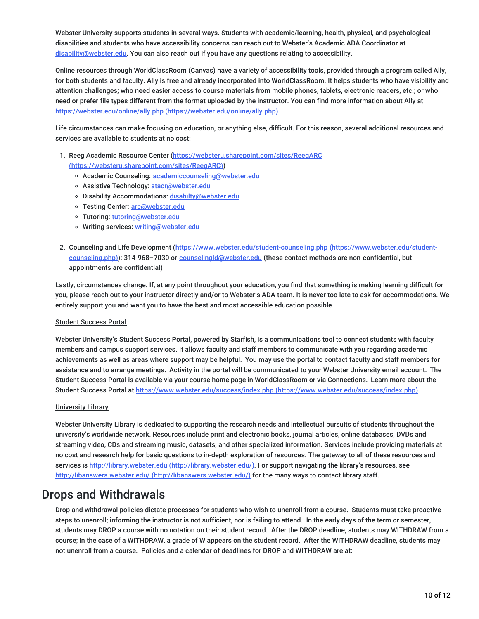Webster University supports students in several ways. Students with academic/learning, health, physical, and psychological disabilities and students who have accessibility concerns can reach out to Webster's Academic ADA Coordinator at disability@webster.edu. You can also reach out if you have any questions relating to accessibility.

Online resources through WorldClassRoom (Canvas) have a variety of accessibility tools, provided through a program called Ally, for both students and faculty. Ally is free and already incorporated into WorldClassRoom. It helps students who have visibility and attention challenges; who need easier access to course materials from mobile phones, tablets, electronic readers, etc.; or who need or prefer file types different from the format uploaded by the instructor. You can find more information about Ally at https://webster.edu/online/ally.php (https://webster.edu/online/ally.php).

Life circumstances can make focusing on education, or anything else, difficult. For this reason, several additional resources and services are available to students at no cost:

1. Reeg Academic Resource Center (https://websteru.sharepoint.com/sites/ReeaARC

#### (https://websteru.sharepoint.com/sites/ReegARC))

- o Academic Counseling: academiccounseling@webster.edu
- o Assistive Technology: atacr@webster.edu
- o Disability Accommodations: disabilty@webster.edu
- o Testing Center: arc@webster.edu
- Tutoring: tutoring@webster.edu
- o Writing services: writing@webster.edu
- 2. Counseling and Life Development (https://www.webster.edu/student-counseling.php (https://www.webster.edu/studentcounseling.php)): 314-968-7030 or counselingId@webster.edu (these contact methods are non-confidential, but appointments are confidential)

Lastly, circumstances change. If, at any point throughout your education, you find that something is making learning difficult for you, please reach out to your instructor directly and/or to Webster's ADA team. It is never too late to ask for accommodations. We entirely support you and want you to have the best and most accessible education possible.

#### Student Success Portal

Webster University's Student Success Portal, powered by Starfish, is a communications tool to connect students with faculty members and campus support services. It allows faculty and staff members to communicate with you regarding academic achievements as well as areas where support may be helpful. You may use the portal to contact faculty and staff members for assistance and to arrange meetings. Activity in the portal will be communicated to your Webster University email account. The Student Success Portal is available via your course home page in WorldClassRoom or via Connections. Learn more about the Student Success Portal at https://www.webster.edu/success/index.php (https://www.webster.edu/success/index.php).

#### University Library

Webster University Library is dedicated to supporting the research needs and intellectual pursuits of students throughout the university's worldwide network. Resources include print and electronic books, journal articles, online databases, DVDs and streaming video, CDs and streaming music, datasets, and other specialized information. Services include providing materials at no cost and research help for basic questions to in-depth exploration of resources. The gateway to all of these resources and services is http://library.webster.edu (http://library.webster.edu/). For support navigating the library's resources, see http://libanswers.webster.edu/ (http://libanswers.webster.edu/) for the many ways to contact library staff.

### Drops and Withdrawals

Drop and withdrawal policies dictate processes for students who wish to unenroll from a course. Students must take proactive steps to unenroll; informing the instructor is not sufficient, nor is failing to attend. In the early days of the term or semester, students may DROP a course with no notation on their student record. After the DROP deadline, students may WITHDRAW from a course; in the case of a WITHDRAW, a grade of W appears on the student record. After the WITHDRAW deadline, students may not unenroll from a course. Policies and a calendar of deadlines for DROP and WITHDRAW are at: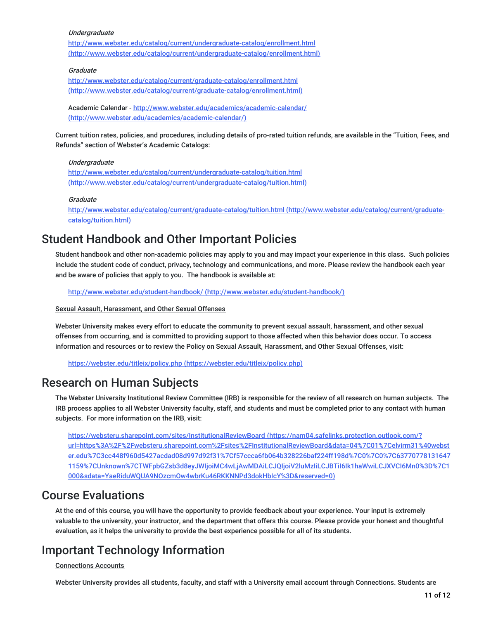#### **Undergraduate**

http://www.webster.edu/catalog/current/undergraduate-catalog/enrollment.html (http://www.webster.edu/catalog/current/undergraduate-catalog/enrollment.html)

#### **Graduate**

http://www.webster.edu/catalog/current/graduate-catalog/enrollment.html (http://www.webster.edu/catalog/current/graduate-catalog/enrollment.html)

Academic Calendar - http://www.webster.edu/academics/academic-calendar/ (http://www.webster.edu/academics/academic-calendar/)

Current tuition rates, policies, and procedures, including details of pro-rated tuition refunds, are available in the "Tuition, Fees, and Refunds" section of Webster's Academic Catalogs:

#### Undergraduate

http://www.webster.edu/catalog/current/undergraduate-catalog/tuition.html (http://www.webster.edu/catalog/current/undergraduate-catalog/tuition.html)

#### **Graduate**

http://www.webster.edu/catalog/current/graduate-catalog/tuition.html (http://www.webster.edu/catalog/current/graduatecatalog/tuition.html)

### Student Handbook and Other Important Policies

Student handbook and other non-academic policies may apply to you and may impact your experience in this class. Such policies include the student code of conduct, privacy, technology and communications, and more. Please review the handbook each year and be aware of policies that apply to you. The handbook is available at:

http://www.webster.edu/student-handbook/ (http://www.webster.edu/student-handbook/)

#### Sexual Assault, Harassment, and Other Sexual Offenses

Webster University makes every effort to educate the community to prevent sexual assault, harassment, and other sexual offenses from occurring, and is committed to providing support to those affected when this behavior does occur. To access information and resources or to review the Policy on Sexual Assault, Harassment, and Other Sexual Offenses, visit:

https://webster.edu/titleix/policy.php (https://webster.edu/titleix/policy.php)

### Research on Human Subjects

The Webster University Institutional Review Committee (IRB) is responsible for the review of all research on human subjects. The IRB process applies to all Webster University faculty, staff, and students and must be completed prior to any contact with human subjects. For more information on the IRB, visit:

https://websteru.sharepoint.com/sites/InstitutionalReviewBoard (https://nam04.safelinks.protection.outlook.com/? url=https%3A%2F%2Fwebsteru.sharepoint.com%2Fsites%2FInstitutionalReviewBoard&data=04%7C01%7Celvirm31%40webst er.edu%7C3cc448f960d5427acdad08d997d92f31%7Cf57ccca6fb064b328226baf224ff198d%7C0%7C0%7C63770778131647 1159%7CUnknown%7CTWFpbGZsb3d8eyJWIjoiMC4wLjAwMDAiLCJQIjoiV2luMzIiLCJBTiI6Ik1haWwiLCJXVCI6Mn0%3D%7C1 000&sdata=YaeRiduWQUA9NOzcmOw4wbrKu46RKKNNPd3dokHbIcY%3D&reserved=0)

### Course Evaluations

At the end of this course, you will have the opportunity to provide feedback about your experience. Your input is extremely valuable to the university, your instructor, and the department that offers this course. Please provide your honest and thoughtful evaluation, as it helps the university to provide the best experience possible for all of its students.

## Important Technology Information

#### Connections Accounts

Webster University provides all students, faculty, and staff with a University email account through Connections. Students are